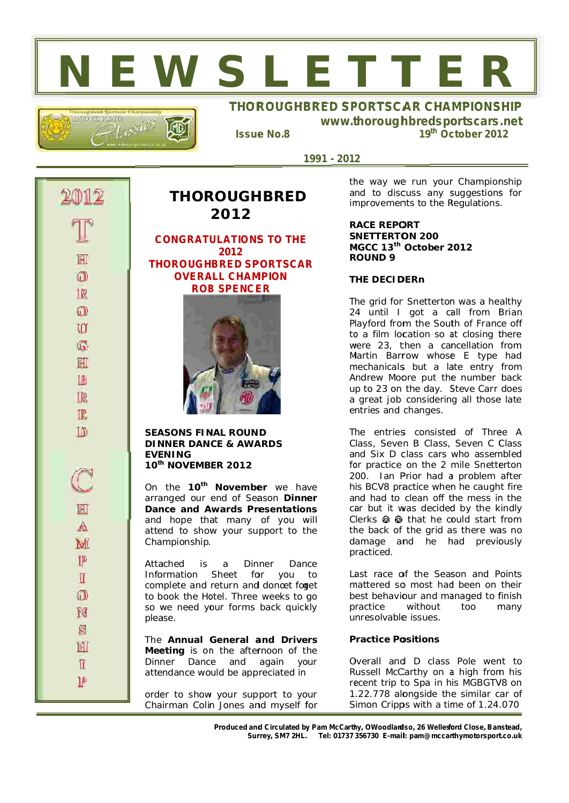# **N E W S L E T T E R**



### **THOROUGHBRED SPORTSCAR CHAMPIONSHIP www.t thorough hbredspo ortscars .net**

*Issue e No.8*

*1 1991 - 201 2*

R  $\Omega$ U **G** H 1R R TE **ID** M  $\mathbb{P}$  $\mathbb I$ O N ß H  $\mathbb{I}$ **IP** 

## **2012 CONGRATULATIONS TO THE TH HOROUGH HBRED SP PORTSCAR OVERA ALL CHAM MPION ROB B SPENCE ER 2012**

**THOR ROUGH HBRED**

**SEASONS FINAL ROUND DIN NNER DAN CE & AWA ARDS EVE ENING 10 th <sup>h</sup> NOVEMB ER 2012**

**Dance and Awards Presentations** On the 10<sup>th</sup> November we have arranged our end of Season Dinner and hope that many of you will attend to show your support to the Cha mpionship.

Atta ached is Information Sheet for you to complete and return and donœt forget to book the Hotel. Three weeks to go so we need your forms back quickly plea ase. a Din ner Dan ce

Meeting is on the afternoon of the The Annual General and Drivers Dinner Dance and again your atte ndance wo uld be app reciated in

order to show your support to your Chairman Colin Jones and myself for the way we run your Championship and to discuss any suggestions for improvements to the Regulations.

*19 th Oc ctober 201 12*

**RACE** REPORT **SNETTERTON 200 M MGCC 13 th October 2 012 R ROUND 9 RRED SPORTSCA**<br>
www.thoroughl<br>
the way we<br>
and to discu<br>
improvement<br>
RACE REPOR<br>
SNETTERTOI<br>
MGCC 13<sup>th</sup> C<br>
ROUND 9

#### **T HE DECID DERn**

The grid for Snetterton was a healthy 24 until I got a call from Brian Playford from the South of France off to a film location so at closing there were 23, then a cancellation from Martin Barrow whose E type had mechanicals but a late entry from Andrew Moore put the number back u p to 23 on the day. S Steve Carr does a great job considering all those late e ntries and changes.

The entries consisted of Three A C lass, Seve n B Class, Seven C C Class and Six D class cars who assembled for practice on the 2 mile Snetterton 2 00. Ian P Prior had a problem after his BCV8 practice when he caught fire and had to clean off the mess in the car but it was decided by the kindly Clerks  $\bigcirc$   $\bigcirc$  that he could start from the back of the grid as there was no damage and he had previously p racticed.

Last race of the Season and Points mattered so most had been on their best behaviour and managed to finish p ractice unresolvable issues. without too many

#### *Practice Positions*

Overall and D class Pole went to Russell McCarthy on a high from his recent trip to Spa in his MGBGTV8 on 1.22.778 alongside the similar car of Simon Cripps with a time of 1.24.070

*Produced and Circulated by Pam McCarthy, OWoodlardso, 26 Wellesford Close, Banstead, Sur rrey, SM7 2HL. Tel: 01737 356730 E-mail il: pam@mccar rthymotorsport t.co.uk*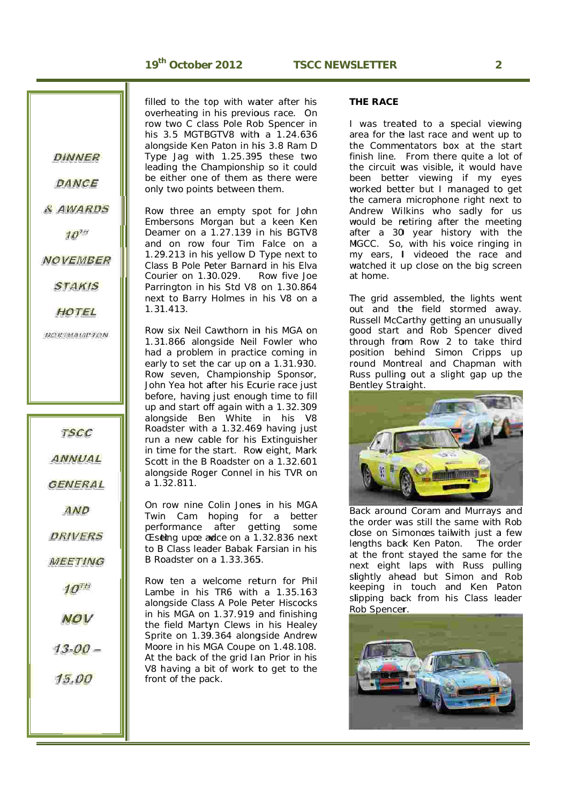**DINNER** 

DANCE

& AWARDS

 $10^{n}$ 

**NOVEMBER** 

**STAKIS** 

HOTEL

**NORTHAMPTON** 

**TSCC** 

ANNUAL

**GENERAL** 

AND

**DRIVERS** 

**MEETING** 

 $10<sup>7H</sup>$ 

**NOV** 

 $13 - 00 =$ 

15.00

filled to the top with water after his overheating in his previous race. On row two C class Pole Rob Spencer in his 3.5 MGTBGTV8 with a 1.24.636 alongside Ken Paton in his 3.8 Ram D Type Jag with 1.25.395 these two leading the Championship so it could be either one of them as there were only two points between them.

Row three an empty spot for John Embersons Morgan but a keen Ken Deamer on a 1.27.139 in his BGTV8 and on row four Tim Falce on a 1.29.213 in his yellow D Type next to Class B Pole Peter Barnard in his Elva Courier on 1.30.029. Row five Joe Parrington in his Std V8 on 1.30.864 next to Barry Holmes in his V8 on a 1.31 1.413.

Row six Neil Cawthorn in his MGA on 1.31 1.866 alon gside Neil Fowler w ho had a problem in practice coming in early to set the car up on a 1.31.930. Row seven, Championship Sponsor, John Yea hot after his Ecurie race just before, having just enough time to fill up and start off again with a 1.32.309 alongside Ben White in his V8 Roadster with a 1.32.469 having just run a new cable for his Extinguisher in time for the start. Row eight, Mark Scott in the B Roadster on a 1.32.601 alongside Roger Connel in his TVR on a 1. 32.811.

On row nine Colin Jones in his MGA Twin Cam hoping for a better performance after getting some Eseting upœ adce on a 1.32.836 next to B Class leader Babak Farsian in his B Ro oadster on a 1.33.365 5.

Row ten a welcome return for Phil Lambe in his TR6 with a 1.35.163 alongside Class A Pole Peter Hiscocks in his MGA on 1.37.919 and finishing the field Martyn Clews in his Healey Sprite on 1.39.364 alongside Andrew Moore in his MGA Coupe on 1.48.108. At the back of the grid Ian Prior in his V8 having a bit of work to get to the front of the pack.

#### *THE RACE*

I was treated to a special viewing area for the last race and went up to the Commentators box at the start finish line. From there quite a lot of the circuit was visible, it would have been better viewing if my eyes worked better but I managed to get the camera microphone right next to A ndrew Wi lkins who sadly fo r us would be retiring after the meeting after a 30 year history with the MGCC. So, with his voice ringing in m my ears, I I videoed the race and watched it up close on the big screen a t home.

The grid assembled, the lights went out and the field stormed away. Russell McCarthy getting an unusually good start and Rob Spencer dived through from Row 2 to take third position behind Simon Cripps up round Montreal and Chapman with Russ pulling out a slight gap up the Bentley Straight.



Back around Coram and Murrays and the order was still the same with Rob close on Simonœs tailwith just a few lengths back Ken Paton. The order at the front stayed the same for the next eight laps with Russ pulling slightly ahead but Simon and Rob keeping in touch and Ken Paton slipping back from his Class leader Rob Spencer.

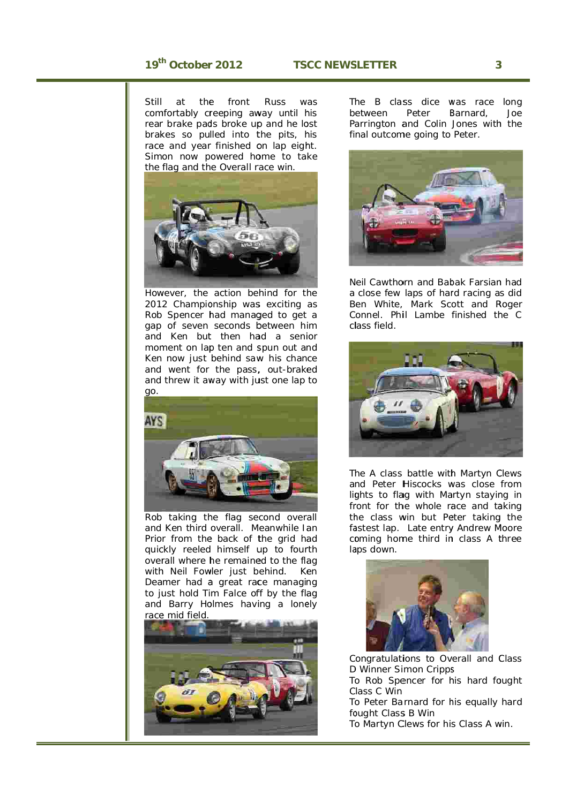**Still** comfortably creeping away until his rear brake pads broke up and he lost brakes so pulled into the pits, his race and year finished on lap eight. Simon now powered home to take the flag and the Overall race win. at the front Russ was



How wever, the action be hind for t he 2012 Championship was exciting as Rob Spencer had managed to get a gap of seven seconds b between h im and Ken but then had a senior moment on lap ten and spun out and Ken now just behind saw his chance and went for the pass, out-braked and threw it away with just one lap to



Rob taking the flag second overall and Ken third overall. Meanwhile Ian Prior from the back of the grid had quickly reeled himself up to fourth overall where he remained to the flag with Neil Fowler just behind. Ke Deamer had a great race managing to just hold Tim Falce off by the flag and Barry Holmes having a lonely race mid field. Ken



The B class dice was race long b etween Parrington and Colin Jones with the final outcome going to Peter. Peter Barnard, Joe



Neil Cawthorn and Babak Farsian had a close few laps of hard racing as did B en White, Mark Sc ott and R Roger Connel. Phil Lambe finished the C cl lass field.



The A class battle with Martyn Clews and Peter Hiscocks was close from lights to flag with Martyn staying in front for the whole race and taking the class win but Peter taking the fastest lap. Late entry Andrew Moore coming home third in class A three la aps down.



Congratulations to Overall and Class D D Winner Si mon Cripps D Winner Simon Cripps<br>To Rob Spencer for his hard fought

C lass C Win

To Peter Barnard for his equally hard fought Class B Win

To Martyn Clews for his Class A win.